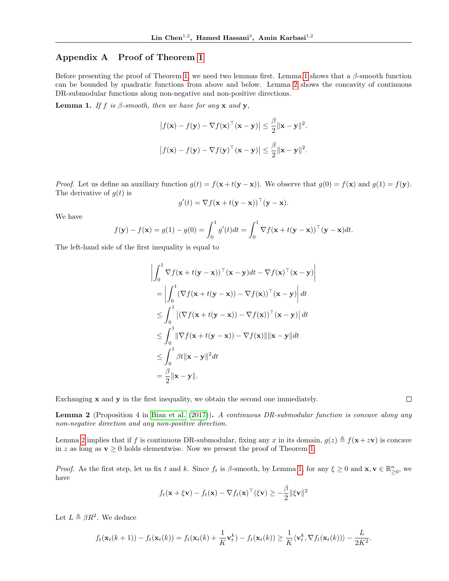## Appendix A Proof of Theorem [1](#page--1-0)

Before presenting the proof of Theorem [1,](#page--1-0) we need two lemmas first. Lemma [1](#page-0-0) shows that a  $\beta$ -smooth function can be bounded by quadratic functions from above and below. Lemma [2](#page-0-1) shows the concavity of continuous DR-submodular functions along non-negative and non-positive directions.

<span id="page-0-0"></span>**Lemma 1.** If f is  $\beta$ -smooth, then we have for any x and y,

$$
|f(\mathbf{x}) - f(\mathbf{y}) - \nabla f(\mathbf{x})^\top (\mathbf{x} - \mathbf{y})| \le \frac{\beta}{2} ||\mathbf{x} - \mathbf{y}||^2.
$$
  

$$
|f(\mathbf{x}) - f(\mathbf{y}) - \nabla f(\mathbf{y})^\top (\mathbf{x} - \mathbf{y})| \le \frac{\beta}{2} ||\mathbf{x} - \mathbf{y}||^2.
$$

*Proof.* Let us define an auxiliary function  $g(t) = f(x + t(y - x))$ . We observe that  $g(0) = f(x)$  and  $g(1) = f(y)$ . The derivative of  $g(t)$  is

$$
g'(t) = \nabla f(\mathbf{x} + t(\mathbf{y} - \mathbf{x}))^{\top}(\mathbf{y} - \mathbf{x}).
$$

We have

$$
f(\mathbf{y}) - f(\mathbf{x}) = g(1) - g(0) = \int_0^1 g'(t)dt = \int_0^1 \nabla f(\mathbf{x} + t(\mathbf{y} - \mathbf{x}))^\top (\mathbf{y} - \mathbf{x})dt.
$$

The left-hand side of the first inequality is equal to

$$
\left| \int_0^1 \nabla f(\mathbf{x} + t(\mathbf{y} - \mathbf{x}))^\top (\mathbf{x} - \mathbf{y}) dt - \nabla f(\mathbf{x})^\top (\mathbf{x} - \mathbf{y}) \right|
$$
  
\n
$$
= \left| \int_0^1 (\nabla f(\mathbf{x} + t(\mathbf{y} - \mathbf{x})) - \nabla f(\mathbf{x}))^\top (\mathbf{x} - \mathbf{y}) \right| dt
$$
  
\n
$$
\leq \int_0^1 |(\nabla f(\mathbf{x} + t(\mathbf{y} - \mathbf{x})) - \nabla f(\mathbf{x}))^\top (\mathbf{x} - \mathbf{y})| dt
$$
  
\n
$$
\leq \int_0^1 \|\nabla f(\mathbf{x} + t(\mathbf{y} - \mathbf{x})) - \nabla f(\mathbf{x})\| \|\mathbf{x} - \mathbf{y}\| dt
$$
  
\n
$$
\leq \int_0^1 \beta t \|\mathbf{x} - \mathbf{y}\|^2 dt
$$
  
\n
$$
= \frac{\beta}{2} \|\mathbf{x} - \mathbf{y}\|.
$$

Exchanging  $x$  and  $y$  in the first inequality, we obtain the second one immediately.

<span id="page-0-1"></span>**Lemma 2** (Proposition 4 in [Bian et al.](#page--1-1) [\(2017\)](#page--1-1)). A continuous DR-submodular function is concave along any non-negative direction and any non-positive direction.

Lemma [2](#page-0-1) implies that if f is continuous DR-submodular, fixing any x in its domain,  $g(z) \triangleq f(x+zv)$  is concave in z as long as  $\mathbf{v} \geq 0$  holds elementwise. Now we present the proof of Theorem [1.](#page--1-0)

Proof. As the first step, let us fix t and k. Since  $f_t$  is  $\beta$ -smooth, by Lemma [1,](#page-0-0) for any  $\xi \ge 0$  and  $\mathbf{x}, \mathbf{v} \in \mathbb{R}^n_{\geq 0}$ , we have

$$
f_t(\mathbf{x} + \xi \mathbf{v}) - f_t(\mathbf{x}) - \nabla f_t(\mathbf{x})^\top (\xi \mathbf{v}) \ge -\frac{\beta}{2} ||\xi \mathbf{v}||^2
$$

Let  $L \triangleq \beta R^2$ . We deduce

$$
f_t(\mathbf{x}_t(k+1)) - f_t(\mathbf{x}_t(k)) = f_t(\mathbf{x}_t(k) + \frac{1}{K}\mathbf{v}_t^k) - f_t(\mathbf{x}_t(k)) \geq \frac{1}{K} \langle \mathbf{v}_t^k, \nabla f_t(\mathbf{x}_t(k)) \rangle - \frac{L}{2K^2}.
$$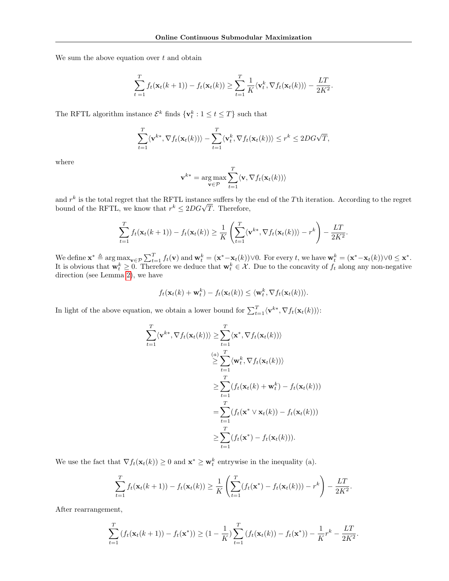We sum the above equation over  $t$  and obtain

$$
\sum_{t=1}^T f_t(\mathbf{x}_t(k+1)) - f_t(\mathbf{x}_t(k)) \geq \sum_{t=1}^T \frac{1}{K} \langle \mathbf{v}_t^k, \nabla f_t(\mathbf{x}_t(k)) \rangle - \frac{LT}{2K^2}.
$$

The RFTL algorithm instance  $\mathcal{E}^k$  finds  $\{ \mathbf{v}_t^k : 1 \le t \le T \}$  such that

$$
\sum_{t=1}^T \langle \mathbf{v}^{k*}, \nabla f_t(\mathbf{x}_t(k)) \rangle - \sum_{t=1}^T \langle \mathbf{v}_t^k, \nabla f_t(\mathbf{x}_t(k)) \rangle \leq r^k \leq 2DG\sqrt{T},
$$

where

$$
\mathbf{v}^{k*} = \arg \max_{\mathbf{v} \in \mathcal{P}} \sum_{t=1}^{T} \langle \mathbf{v}, \nabla f_t(\mathbf{x}_t(k)) \rangle
$$

and  $r^k$  is the total regret that the RFTL instance suffers by the end of the Tth iteration. According to the regret and  $r^*$  is the total regret that the KF IL instance suffers by the bound of the RFTL, we know that  $r^k \leq 2DG\sqrt{T}$ . Therefore,

$$
\sum_{t=1}^T f_t(\mathbf{x}_t(k+1)) - f_t(\mathbf{x}_t(k)) \geq \frac{1}{K} \left( \sum_{t=1}^T \langle \mathbf{v}^{k*}, \nabla f_t(\mathbf{x}_t(k)) \rangle - r^k \right) - \frac{LT}{2K^2}.
$$

We define  $\mathbf{x}^* \triangleq \arg \max_{\mathbf{v} \in \mathcal{P}} \sum_{t=1}^T f_t(\mathbf{v})$  and  $\mathbf{w}_t^k = (\mathbf{x}^* - \mathbf{x}_t(k)) \vee 0$ . For every t, we have  $\mathbf{w}_t^k = (\mathbf{x}^* - \mathbf{x}_t(k)) \vee 0 \leq \mathbf{x}^*$ . It is obvious that  $\mathbf{w}_t^k \geq 0$ . Therefore we deduce that  $\mathbf{w}_t^k \in \mathcal{X}$ . Due to the concavity of  $f_t$  along any non-negative direction (see Lemma [2\)](#page-0-1), we have

$$
f_t(\mathbf{x}_t(k)+\mathbf{w}_t^k)-f_t(\mathbf{x}_t(k))\leq \langle \mathbf{w}_t^k, \nabla f_t(\mathbf{x}_t(k))\rangle.
$$

In light of the above equation, we obtain a lower bound for  $\sum_{t=1}^{T} \langle \mathbf{v}^{k*}, \nabla f_t(\mathbf{x}_t(k)) \rangle$ :

$$
\sum_{t=1}^{T} \langle \mathbf{v}^{k*}, \nabla f_t(\mathbf{x}_t(k)) \rangle \ge \sum_{t=1}^{T} \langle \mathbf{x}^*, \nabla f_t(\mathbf{x}_t(k)) \rangle
$$
  
\n
$$
\ge \sum_{t=1}^{T} \langle \mathbf{w}_t^k, \nabla f_t(\mathbf{x}_t(k)) \rangle
$$
  
\n
$$
\ge \sum_{t=1}^{T} (f_t(\mathbf{x}_t(k) + \mathbf{w}_t^k) - f_t(\mathbf{x}_t(k)))
$$
  
\n
$$
= \sum_{t=1}^{T} (f_t(\mathbf{x}^* \vee \mathbf{x}_t(k)) - f_t(\mathbf{x}_t(k)))
$$
  
\n
$$
\ge \sum_{t=1}^{T} (f_t(\mathbf{x}^*) - f_t(\mathbf{x}_t(k))).
$$

We use the fact that  $\nabla f_t(\mathbf{x}_t(k)) \geq 0$  and  $\mathbf{x}^* \geq \mathbf{w}_t^k$  entrywise in the inequality (a).

$$
\sum_{t=1}^T f_t(\mathbf{x}_t(k+1)) - f_t(\mathbf{x}_t(k)) \ge \frac{1}{K} \left( \sum_{t=1}^T (f_t(\mathbf{x}^*) - f_t(\mathbf{x}_t(k))) - r^k \right) - \frac{LT}{2K^2}.
$$

After rearrangement,

$$
\sum_{t=1}^{T} \left( f_t(\mathbf{x}_t(k+1)) - f_t(\mathbf{x}^*) \right) \geq (1 - \frac{1}{K}) \sum_{t=1}^{T} \left( f_t(\mathbf{x}_t(k)) - f_t(\mathbf{x}^*) \right) - \frac{1}{K} r^k - \frac{LT}{2K^2}.
$$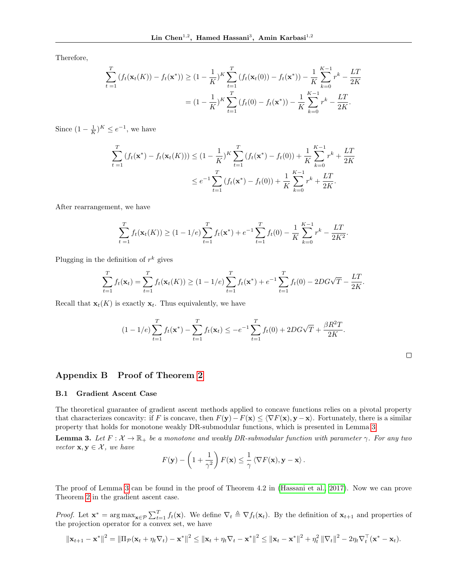Therefore,

$$
\sum_{t=1}^{T} (f_t(\mathbf{x}_t(K)) - f_t(\mathbf{x}^*)) \ge (1 - \frac{1}{K})^K \sum_{t=1}^{T} (f_t(\mathbf{x}_t(0)) - f_t(\mathbf{x}^*)) - \frac{1}{K} \sum_{k=0}^{K-1} r^k - \frac{LT}{2K}
$$

$$
= (1 - \frac{1}{K})^K \sum_{t=1}^{T} (f_t(0) - f_t(\mathbf{x}^*)) - \frac{1}{K} \sum_{k=0}^{K-1} r^k - \frac{LT}{2K}.
$$

Since  $(1 - \frac{1}{K})^K \le e^{-1}$ , we have

$$
\sum_{t=1}^{T} (f_t(\mathbf{x}^*) - f_t(\mathbf{x}_t(K))) \le (1 - \frac{1}{K})^K \sum_{t=1}^{T} (f_t(\mathbf{x}^*) - f_t(0)) + \frac{1}{K} \sum_{k=0}^{K-1} r^k + \frac{LT}{2K}
$$
  

$$
\le e^{-1} \sum_{t=1}^{T} (f_t(\mathbf{x}^*) - f_t(0)) + \frac{1}{K} \sum_{k=0}^{K-1} r^k + \frac{LT}{2K}.
$$

After rearrangement, we have

$$
\sum_{t=1}^{T} f_t(\mathbf{x}_t(K)) \ge (1 - 1/e) \sum_{t=1}^{T} f_t(\mathbf{x}^*) + e^{-1} \sum_{t=1}^{T} f_t(0) - \frac{1}{K} \sum_{k=0}^{K-1} r^k - \frac{LT}{2K^2}.
$$

Plugging in the definition of  $r^k$  gives

$$
\sum_{t=1}^{T} f_t(\mathbf{x}_t) = \sum_{t=1}^{T} f_t(\mathbf{x}_t(K)) \ge (1 - 1/e) \sum_{t=1}^{T} f_t(\mathbf{x}^*) + e^{-1} \sum_{t=1}^{T} f_t(0) - 2DG\sqrt{T} - \frac{LT}{2K}.
$$

Recall that  $\mathbf{x}_t(K)$  is exactly  $\mathbf{x}_t$ . Thus equivalently, we have

$$
(1-1/e)\sum_{t=1}^T f_t(\mathbf{x}^*) - \sum_{t=1}^T f_t(\mathbf{x}_t) \le -e^{-1}\sum_{t=1}^T f_t(0) + 2DG\sqrt{T} + \frac{\beta R^2 T}{2K}.
$$

## Appendix B Proof of Theorem [2](#page--1-2)

## B.1 Gradient Ascent Case

The theoretical guarantee of gradient ascent methods applied to concave functions relies on a pivotal property that characterizes concavity: if F is concave, then  $F(y) - F(x) \le \langle \nabla F(x), y - x \rangle$ . Fortunately, there is a similar property that holds for monotone weakly DR-submodular functions, which is presented in Lemma [3.](#page-2-0)

<span id="page-2-0"></span>**Lemma 3.** Let  $F: \mathcal{X} \to \mathbb{R}_+$  be a monotone and weakly DR-submodular function with parameter  $\gamma$ . For any two vector  $\mathbf{x}, \mathbf{y} \in \mathcal{X}$ , we have

$$
F(\mathbf{y}) - \left(1 + \frac{1}{\gamma^2}\right) F(\mathbf{x}) \leq \frac{1}{\gamma} \left\langle \nabla F(\mathbf{x}), \mathbf{y} - \mathbf{x} \right\rangle.
$$

The proof of Lemma [3](#page-2-0) can be found in the proof of Theorem 4.2 in [\(Hassani et al., 2017\)](#page--1-3). Now we can prove Theorem [2](#page--1-2) in the gradient ascent case.

*Proof.* Let  $\mathbf{x}^* = \arg \max_{\mathbf{x} \in \mathcal{P}} \sum_{t=1}^T f_t(\mathbf{x})$ . We define  $\nabla_t \triangleq \nabla f_t(\mathbf{x}_t)$ . By the definition of  $\mathbf{x}_{t+1}$  and properties of the projection operator for a convex set, we have

$$
\|\mathbf{x}_{t+1}-\mathbf{x}^*\|^2=\|\Pi_{\mathcal{P}}(\mathbf{x}_t+\eta_t\nabla_t)-\mathbf{x}^*\|^2\leq \|\mathbf{x}_t+\eta_t\nabla_t-\mathbf{x}^*\|^2\leq \|\mathbf{x}_t-\mathbf{x}^*\|^2+\eta_t^2\|\nabla_t\|^2-2\eta_t\nabla_t^\top(\mathbf{x}^*-\mathbf{x}_t).
$$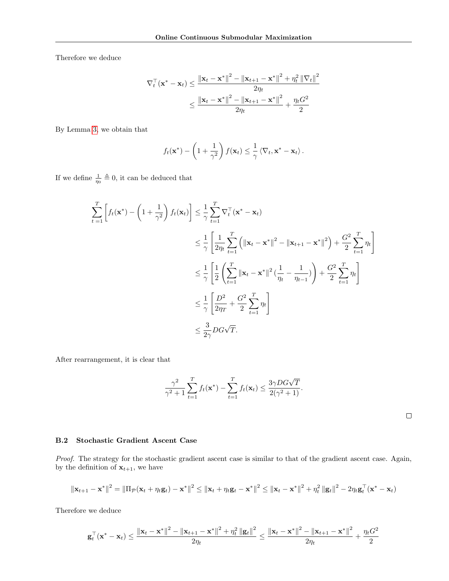Therefore we deduce

$$
\nabla_t^{\top} (\mathbf{x}^* - \mathbf{x}_t) \le \frac{\|\mathbf{x}_t - \mathbf{x}^*\|^2 - \|\mathbf{x}_{t+1} - \mathbf{x}^*\|^2 + \eta_t^2 \|\nabla_t\|^2}{2\eta_t}
$$
  

$$
\le \frac{\|\mathbf{x}_t - \mathbf{x}^*\|^2 - \|\mathbf{x}_{t+1} - \mathbf{x}^*\|^2}{2\eta_t} + \frac{\eta_t G^2}{2}
$$

By Lemma [3,](#page-2-0) we obtain that

$$
f_t(\mathbf{x}^*) - \left(1 + \frac{1}{\gamma^2}\right) f(\mathbf{x}_t) \leq \frac{1}{\gamma} \langle \nabla_t, \mathbf{x}^* - \mathbf{x}_t \rangle.
$$

If we define  $\frac{1}{\eta_0} \triangleq 0$ , it can be deduced that

$$
\sum_{t=1}^{T} \left[ f_t(\mathbf{x}^*) - \left( 1 + \frac{1}{\gamma^2} \right) f_t(\mathbf{x}_t) \right] \leq \frac{1}{\gamma} \sum_{t=1}^{T} \nabla_t^{\top} (\mathbf{x}^* - \mathbf{x}_t)
$$
\n
$$
\leq \frac{1}{\gamma} \left[ \frac{1}{2\eta_t} \sum_{t=1}^{T} \left( \|\mathbf{x}_t - \mathbf{x}^*\|^2 - \|\mathbf{x}_{t+1} - \mathbf{x}^*\|^2 \right) + \frac{G^2}{2} \sum_{t=1}^{T} \eta_t \right]
$$
\n
$$
\leq \frac{1}{\gamma} \left[ \frac{1}{2} \left( \sum_{t=1}^{T} \|\mathbf{x}_t - \mathbf{x}^*\|^2 \left( \frac{1}{\eta_t} - \frac{1}{\eta_{t-1}} \right) \right) + \frac{G^2}{2} \sum_{t=1}^{T} \eta_t \right]
$$
\n
$$
\leq \frac{1}{\gamma} \left[ \frac{D^2}{2\eta_T} + \frac{G^2}{2} \sum_{t=1}^{T} \eta_t \right]
$$
\n
$$
\leq \frac{3}{2\gamma} DG\sqrt{T}.
$$

After rearrangement, it is clear that

$$
\frac{\gamma^2}{\gamma^2+1}\sum_{t=1}^T f_t(\mathbf{x}^*) - \sum_{t=1}^T f_t(\mathbf{x}_t) \le \frac{3\gamma DG\sqrt{T}}{2(\gamma^2+1)}.
$$

 $\Box$ 

## B.2 Stochastic Gradient Ascent Case

Proof. The strategy for the stochastic gradient ascent case is similar to that of the gradient ascent case. Again, by the definition of  $\mathbf{x}_{t+1}$ , we have

$$
\|\mathbf{x}_{t+1} - \mathbf{x}^*\|^2 = \|\Pi_{\mathcal{P}}(\mathbf{x}_t + \eta_t \mathbf{g}_t) - \mathbf{x}^*\|^2 \le \|\mathbf{x}_t + \eta_t \mathbf{g}_t - \mathbf{x}^*\|^2 \le \|\mathbf{x}_t - \mathbf{x}^*\|^2 + \eta_t^2 \|\mathbf{g}_t\|^2 - 2\eta_t \mathbf{g}_t^\top(\mathbf{x}^* - \mathbf{x}_t)
$$

Therefore we deduce

$$
\mathbf{g}_t^\top(\mathbf{x}^*-\mathbf{x}_t)\leq \frac{\|\mathbf{x}_t-\mathbf{x}^*\|^2-\|\mathbf{x}_{t+1}-\mathbf{x}^*\|^2+\eta_t^2\left\|\mathbf{g}_t\right\|^2}{2\eta_t}\leq \frac{\|\mathbf{x}_t-\mathbf{x}^*\|^2-\|\mathbf{x}_{t+1}-\mathbf{x}^*\|^2}{2\eta_t}+\frac{\eta_tG^2}{2}
$$